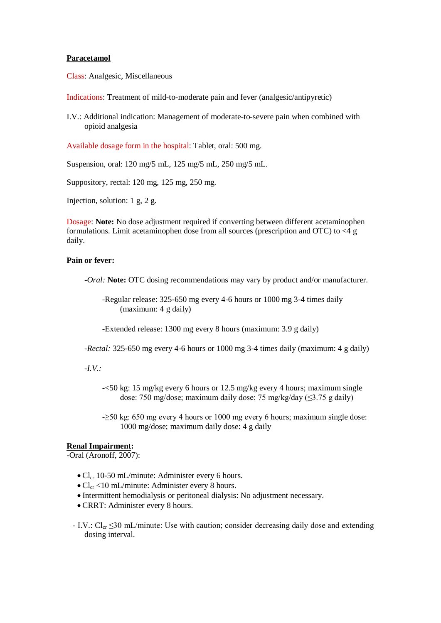### **Paracetamol**

Class: Analgesic, Miscellaneous

Indications: Treatment of mild-to-moderate pain and fever (analgesic/antipyretic)

I.V.: Additional indication: Management of moderate-to-severe pain when combined with opioid analgesia

Available dosage form in the hospital: Tablet, oral: 500 mg.

Suspension, oral: 120 mg/5 mL, 125 mg/5 mL, 250 mg/5 mL.

Suppository, rectal: 120 mg, 125 mg, 250 mg.

Injection, solution: 1 g, 2 g.

Dosage: **Note:** No dose adjustment required if converting between different acetaminophen formulations. Limit acetaminophen dose from all sources (prescription and OTC) to <4 g daily.

## **Pain or fever:**

*-Oral:* **Note:** OTC dosing recommendations may vary by product and/or manufacturer.

-Regular release: 325-650 mg every 4-6 hours or 1000 mg 3-4 times daily (maximum: 4 g daily)

-Extended release: 1300 mg every 8 hours (maximum: 3.9 g daily)

*-Rectal:* 325-650 mg every 4-6 hours or 1000 mg 3-4 times daily (maximum: 4 g daily)

*-I.V.:*

- -<50 kg: 15 mg/kg every 6 hours or 12.5 mg/kg every 4 hours; maximum single dose: 750 mg/dose; maximum daily dose: 75 mg/kg/day ( $\leq$ 3.75 g daily)
- - $\geq$ 50 kg: 650 mg every 4 hours or 1000 mg every 6 hours; maximum single dose: 1000 mg/dose; maximum daily dose: 4 g daily

#### **Renal Impairment:**

-Oral (Aronoff, 2007):

- $\bullet$  Cl<sub>cr</sub> 10-50 mL/minute: Administer every 6 hours.
- $\bullet$  Cl<sub>cr</sub> <10 mL/minute: Administer every 8 hours.
- Intermittent hemodialysis or peritoneal dialysis: No adjustment necessary.
- CRRT: Administer every 8 hours.
- I.V.:  $Cl_{cr} \leq 30$  mL/minute: Use with caution; consider decreasing daily dose and extending dosing interval.